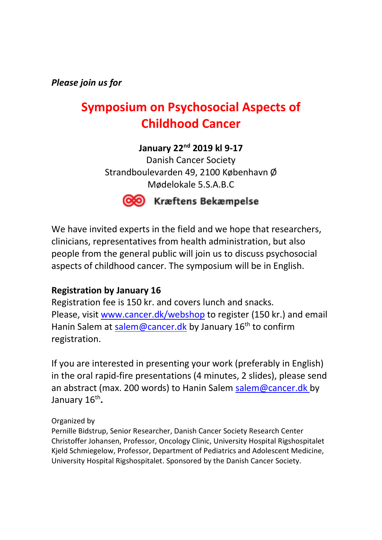*Please join us for* 

# **Symposium on Psychosocial Aspects of Childhood Cancer**

**January 22nd 2019 kl 9-17**

Danish Cancer Society Strandboulevarden 49, 2100 København Ø Mødelokale 5.S.A.B.C



### CO Kræftens Bekæmpelse

We have invited experts in the field and we hope that researchers, clinicians, representatives from health administration, but also people from the general public will join us to discuss psychosocial aspects of childhood cancer. The symposium will be in English.

### **Registration by January 16**

Registration fee is 150 kr. and covers lunch and snacks. Please, visit [www.cancer.dk/webshop](http://www.cancer.dk/webshop) to register (150 kr.) and email Hanin Salem at [salem@cancer.dk](mailto:salem@cancer.dk) by January 16<sup>th</sup> to confirm registration.

If you are interested in presenting your work (preferably in English) in the oral rapid-fire presentations (4 minutes, 2 slides), please send an abstract (max. 200 words) to Hanin Salem salem @cancer.dk by January 16 th **.**

#### Organized by

Pernille Bidstrup, Senior Researcher, Danish Cancer Society Research Center Christoffer Johansen, Professor, Oncology Clinic, University Hospital Rigshospitalet Kjeld Schmiegelow, Professor, Department of Pediatrics and Adolescent Medicine, University Hospital Rigshospitalet. Sponsored by the Danish Cancer Society.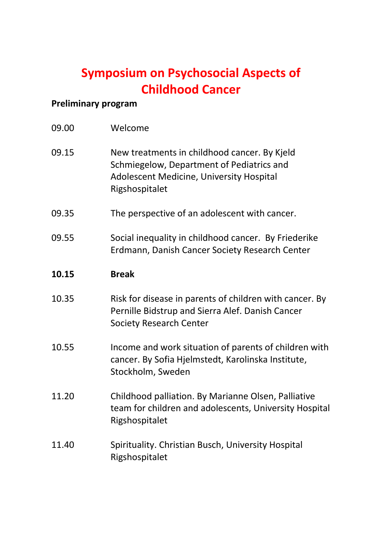# **Symposium on Psychosocial Aspects of Childhood Cancer**

## **Preliminary program**

| 09.00 | Welcome                                                                                                                                                 |
|-------|---------------------------------------------------------------------------------------------------------------------------------------------------------|
| 09.15 | New treatments in childhood cancer. By Kjeld<br>Schmiegelow, Department of Pediatrics and<br>Adolescent Medicine, University Hospital<br>Rigshospitalet |
| 09.35 | The perspective of an adolescent with cancer.                                                                                                           |
| 09.55 | Social inequality in childhood cancer. By Friederike<br>Erdmann, Danish Cancer Society Research Center                                                  |
| 10.15 | <b>Break</b>                                                                                                                                            |
| 10.35 | Risk for disease in parents of children with cancer. By<br>Pernille Bidstrup and Sierra Alef. Danish Cancer<br><b>Society Research Center</b>           |
| 10.55 | Income and work situation of parents of children with<br>cancer. By Sofia Hjelmstedt, Karolinska Institute,<br>Stockholm, Sweden                        |
| 11.20 | Childhood palliation. By Marianne Olsen, Palliative<br>team for children and adolescents, University Hospital<br>Rigshospitalet                         |
| 11.40 | Spirituality. Christian Busch, University Hospital<br>Rigshospitalet                                                                                    |